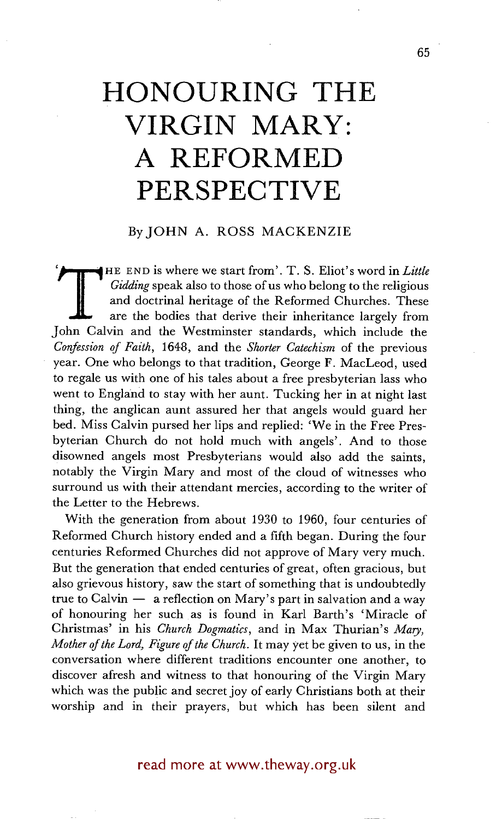# **HONOURING THE VIRGIN MARY: A REFORMED PERSPECTIVE**

# By JOHN A. ROSS MACKENZIE

THE END is where we start from'. T. S. Eliot's word in *Little*<br>
Gidding speak also to those of us who belong to the religious<br>
and doctrinal heritage of the Reformed Churches. These<br>
are the bodies that derive their inher *Gidding* speak also to those of us who belong to the religious and doctrinal heritage of the Reformed Churches. These are the bodies that derive their inheritance largely from John Calvin and the Westminster standards, which include the *Confession of Faith,* 1648, and the *Shorter Catechism* of the previous year. One who belongs to that tradition, George F. MacLeod, used to regale us with one of his tales about a free presbyterian lass who went to England to stay with her aunt. Tucking her in at night last thing, the anglican aunt assured her that angels would guard her bed. Miss Calvin pursed her lips and replied: 'We in the Free Presbyterian Church do not hold much with angels'. And to those disowned angels most Presbyterians would also add the saints, notably the Virgin Mary and most of the cloud of witnesses who surround us with their attendant mercies, according to the writer of the Letter to the Hebrews.

With the generation from about 1930 to 1960, four centuries of Reformed Church history ended and a fifth began. During the four centuries Reformed Churches did not approve of Mary very much. But the generation that ended centuries of great, often gracious, but also grievous history, saw the start of something that is undoubtedly true to Calvin  $-$  a reflection on Mary's part in salvation and a way of honouring her such as is found in Karl Barth's 'Miracle of Christmas' in his *Church Dogmatics*, and in Max Thurian's Mary, *Mother of the Lord, Figure of the Church.* It may yet be given to us, in the conversation where different traditions encounter one another, to discover afresh and witness to that honouring of the Virgin Mary which was the public and secret joy of early Christians both at their worship and in their prayers, but which has been silent and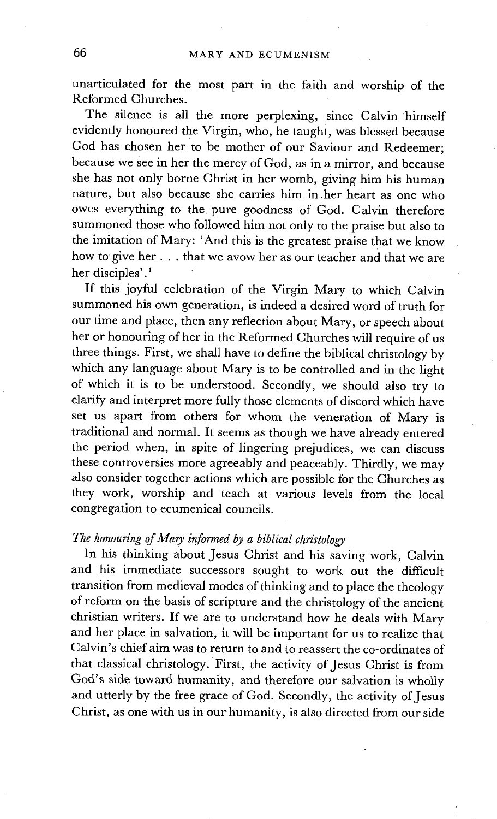unarticulated for the most part in the faith and worship of the Reformed Churches.

The silence is all the more perplexing, since Calvin himself evidently honoured the Virgin, who, he taught, was blessed because God has chosen her to be mother of our Saviour and Redeemer; because we see in her the mercy of God, as in a mirror, and because she has not only borne Christ in her womb, giving him his human nature, but also because she carries him in .her heart as one who owes everything to the pure goodness of God. Calvin therefore summoned those who followed him not only to the praise but also to the imitation of Mary: 'And this is the greatest praise that we know how to give her.., that we avow her as our teacher and that we are her disciples'.<sup>1</sup>

If this joyful celebration of the Virgin Mary to which Calvin summoned his own generation, is indeed a desired word of truth for our time and place, then any reflection about Mary, or speech about her or honouring of her in the Reformed Churches will require of us three things. First, we shall have to define the biblical christology by which any language about Mary is to be controlled and in the light of which it is to be understood. Secondly, we should also try to clarify and interpret more fully those elements of discord which have set us apart from others for whom the veneration of Mary is traditional and normal. It seems as though we have already entered the period when, in spite of lingering prejudices, we can discuss these controversies more agreeably and peaceably. Thirdly, we may also consider together actions which are possible for the Churches as they work, worship and teach at various levels from the local congregation to ecumenical councils.

#### *The honouring of Mary informed by a biblical christology*

In his thinking about Jesus Christ and his saving work, Calvin and his immediate successors sought to work out the difficult transition from medieval modes of thinking and to place the theology of reform on the basis of scripture and the christology of the ancient christian writers. If we are to understand how he deals with Mary and her place in salvation, it will be important for us to realize that Calvin's chief aim was to return to and to reassert the co-ordinates of that classical christology.'First, the activity of Jesus Christ is from God's side toward humanity, and therefore our salvation is wholly and utterly by the free grace of God. Secondly, the activity of Jesus Christ, as one with us in our humanity, is also directed from our side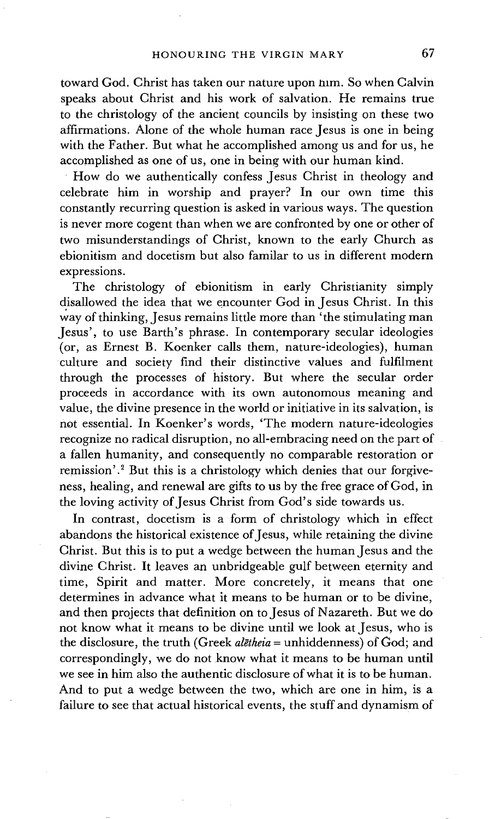toward God. Christ has taken our nature upon him. So when Calvin speaks about Christ and his work of salvation. He remains true to the christology of the ancient councils by insisting on these two affirmations. Alone of the whole human race Jesus is one in being with the Father. But what he accomplished among us and for us, he accomplished as one of us, one in being with our human kind.

How do we authentically confess Jesus Christ in theology and celebrate him in worship and prayer? In our own time this constantly recurring question is asked in various ways. The question is never more cogent than when we are confronted by one or other of two misunderstandings of Christ, known to the early Church as ebionitism and docetism but also familar to us in different modern expressions.

The christology of ebionitism in early Christianity simply disallowed the idea that we encounter God in Jesus Christ. In this way of thinking, Jesus remains little more than 'the stimulating man Jesus', to use Barth's phrase. In contemporary secular ideologies (or, as Ernest B. Koenker calls them, nature-ideologies), human culture and society find their distinctive values and fulfilment through the processes of history. But where the secular order proceeds in accordance with its own autonomous meaning and value, the divine presence in the world or initiative in its salvation, is not essential. In Koenker's words, 'The modern nature-ideologies recognize no radical disruption, no all-embracing need on the part of a fallen humanity, and consequently no comparable restoration or remission'.<sup>2</sup> But this is a christology which denies that our forgiveness, healing, and renewal are gifts to us by the free grace of God, in the loving activity of Jesus Christ from God's side towards us.

In contrast, docetism is a form of christology which in effect abandons the historical existence of Jesus, while retaining the divine Christ. But this is to put a wedge between the human Jesus and the divine Christ. It leaves an unbridgeable gulf between eternity and time, Spirit and matter. More concretely, it means that one determines in advance what it means to be human or to be divine, and then projects that definition on to Jesus of Nazareth. But we do not know what it means to be divine until we look at Jesus, who is the disclosure, the truth (Greek *algtheia* = unhiddenness) of God; and correspondingly, we do not know what it means to be human until we see in him also the authentic disclosure of what it is to be human. And to put a wedge between the two, which are one in him, is a failure to see that actual historical events, the stuff and dynamism of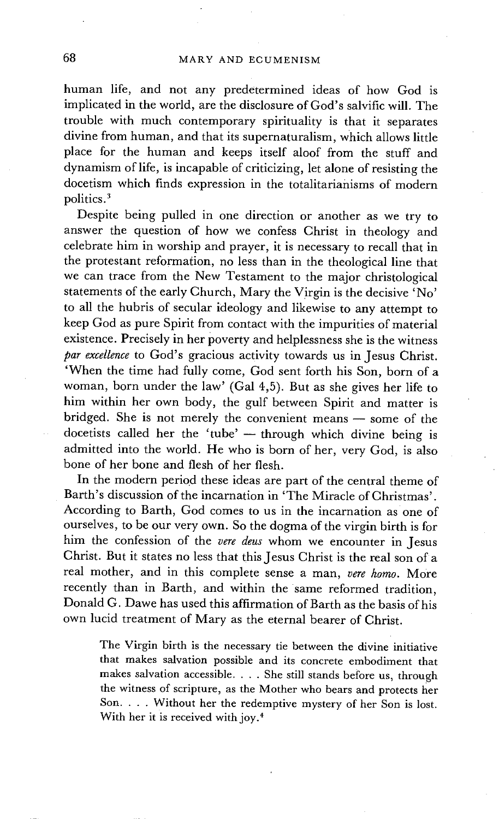human life, and not any predetermined ideas of how God is implicated in the world, are the disclosure of God's salvific will. The trouble with much contemporary spirituality is that it separates divine from human, and that its supernaturalism, which allows little place for the human and keeps itself aloof from the stuff and dynamism of life, is incapable of criticizing, let alone of resisting the docetism which finds expression in the totalitarianisms of modern politics.<sup>3</sup>

Despite being pulled in one direction or another as we try to answer the question of how we confess Christ in theology and celebrate him in worship and prayer, it is necessary to recall that in the protestant reformation, no less than in the theological line that we can trace from the New Testament to the major christological statements of the early Church, Mary the Virgin is the decisive 'No' to all the hubris of secular ideology and likewise to any attempt to keep God as pure Spirit from contact with the impurities of material existence. Precisely in her poverty and helplessness she is the witness *par excellence* to God's gracious activity towards us in Jesus Christ. 'When the time had fully come, God sent forth his Son, born of a woman, born under the law' (Gal 4,5). But as she gives her life to him within her own body, the gulf between Spirit and matter is bridged. She is not merely the convenient means -- some of the docetists called her the 'tube' -- through which divine being is admitted into the world. He who is born of her, very God, is also bone of her bone and flesh of her flesh.

In the modern period these ideas are part of the central theme of Barth's discussion of the incarnation in 'The Miracle of Christmas'. According to Barth, God comes to us in the incarnation as one of ourselves, to be our very own. So the dogma of the virgin birth is for him the confession of the *vere deus* whom we encounter in Jesus Christ. But it states no less that this Jesus Christ is the real son of a real mother, and in this complete sense a man, *vere homo.* More recently than in Barth, and within the same reformed tradition, Donald G. Dawe has used this affirmation of Barth as the basis of his own lucid treatment of Mary as the eternal bearer of Christ.

The Virgin birth is the necessary tie between the divine initiative that makes salvation possible and its concrete embodiment that makes salvation accessible. . . . She still stands before us, through the witness of scripture, as the Mother who bears and protects her Son. . . . Without her the redemptive mystery of her Son is lost. With her it is received with joy.<sup>4</sup>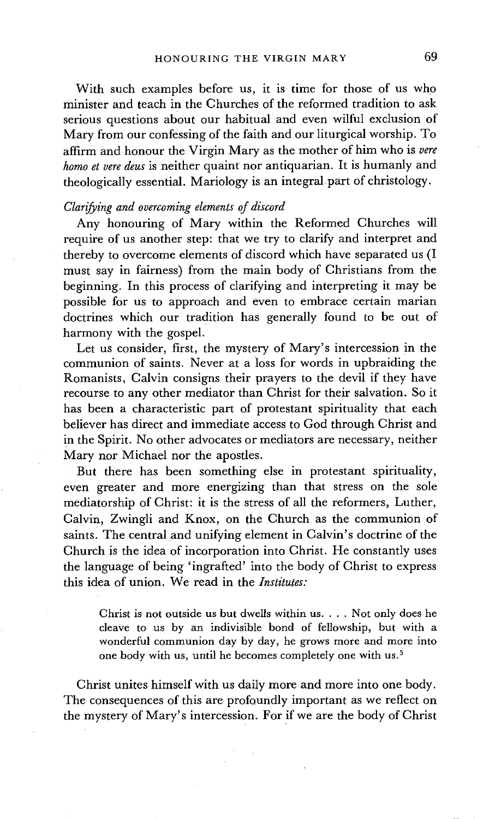With such examples before us, it is time for those of us who minister and teach in the Churches of the reformed tradition to ask serious questions about our habitual and even wilful exclusion of Mary from our confessing of the faith and our liturgical worship. To affirm and honour the Virgin Mary as the mother of him who is *vere homo et vere deus* is neither quaint nor antiquarian. It is humanly and theologically essential. Mariology is an integral part of christology.

### *Clarifying and overcoming elements of discord*

Any honouring of Mary within the Reformed Churches will require of us another step: that we try to clarify and interpret and thereby to overcome elements of discord which have separated us (I must say in fairness) from the main body of Christians from the beginning. In this process of clarifying and interpreting it may be possible for us to approach and even to embrace certain marian doctrines which our tradition has generally found to be out of harmony with the gospel.

Let us consider, first, the mystery of Mary's intercession in the communion of saints. Never at a loss for words in upbraiding the Romanists, Calvin consigns their prayers to the devil if they have recourse to any other mediator than Christ for their salvation. So it has been a characteristic part of protestant spirituality that each believer has direct and immediate access to God through Christ and in the Spirit. No other advocates or mediators are necessary, neither Mary nor Michael nor the apostles.

But there has been something else in protestant spirituality, even greater and more energizing than that stress on the sole mediatorship of Christ: it is the stress of all the reformers, Luther, Calvin, Zwingli and Knox, on the Church as the communion of saints. The central and unifying element in Calvin's doctrine of the Church is the idea of incorporation into Christ. He constantly uses the language of being 'ingrafted' into the body of Christ to express this idea of union. We read in the *Institutes:* 

Christ is not outside us but dwells within us .... Not only does he cleave to us by an indivisible bond of fellowship, but with a wonderful communion day by day, he grows more and more into one body with us, until he becomes completely one with us.<sup>5</sup>

Christ unites himself with us daily more and more into one body. The consequences of this are profoundly important as we reflect on the mystery of Mary's intercession. For if we are the body of Christ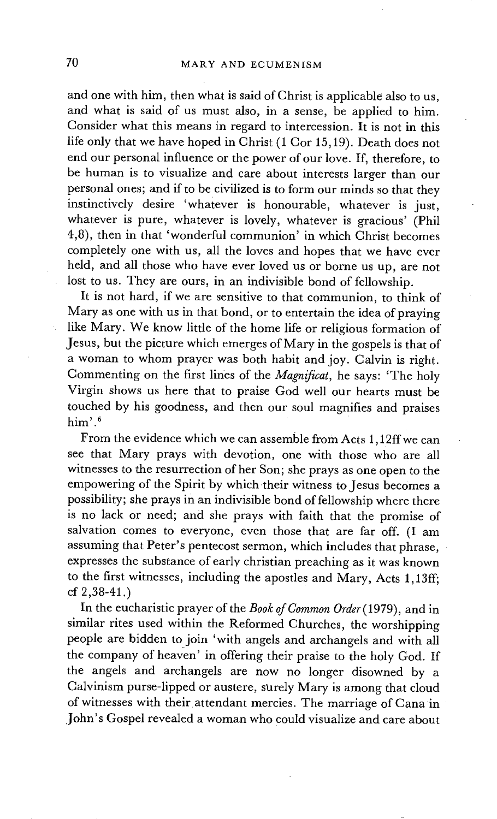and one with him, then what is said of Christ is applicable also to us, and what is said of us must also, in a sense, be applied to him. Consider what this means in regard to intercession. It is not in this life only that we have hoped in Christ (1 Cor 15,19). Death does not end our personal influence or the power of our love. If, therefore, to be human is to visualize and care about interests larger than our personal ones; and if to be civilized is to form our minds so that they instinctively desire 'whatever is honourable, whatever is just, whatever is pure, whatever is lovely, whatever is gracious' (Phil 4,8), then in that 'wonderful communion' in which Christ becomes completely one with us, all the loves and hopes that we have ever held, and all those who have ever loved us or borne us up, are not lost to us. They are ours, in an indivisible bond of fellowship.

It is not hard, if we are sensitive to that communion, to think of Mary as one with us in that bond, or to entertain the idea of praying like Mary. We know little of the home life or religious formation of Jesus, but the picture which emerges of Mary in the gospels is that of a woman to whom prayer was both habit and joy. Calvin is right. Commenting on the first lines of the *Magnificat*, he says: 'The holy Virgin shows us here that to praise God well our hearts must be touched by his goodness, and then our soul magnifies and praises him' .6

From the evidence which we can assemble from Acts 1,12ffwe can see that Mary prays with devotion, one with those who are all witnesses to the resurrection of her Son; she prays as one open to the empowering of the Spirit by which their witness to Jesus becomes a possibility; she prays in an indivisible bond of fellowship where there is no lack or need; and she prays with faith that the promise of salvation comes to everyone, even those that are far off. (I am assuming that Peter's pentecost sermon, which includes that phrase, expresses the substance of early christian preaching as it was known to the first witnesses, including the apostles and Mary, Acts 1,13ff; cf 2,38-41 .)

In the eucharistic prayer of the *Book of Common Order* (1979), and in similar rites used within the Reformed Churches, the worshipping people are bidden to join 'with angels and archangels and with all the company of heaven' in offering their praise to the holy God. If the angels and archangels are now no longer disowned by a Calvinism purse-lipped or austere, surely Mary is among that cloud of witnesses with their attendant mercies. The marriage of Cana in John's Gospel revealed a woman who could visualize and care about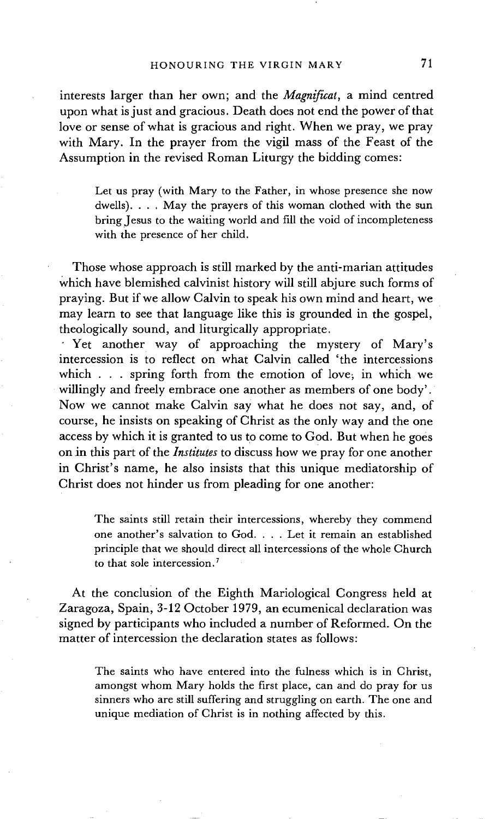interests larger than her own; and the *Magnificat,* a mind centred upon what is just and gracious. Death does not end the power of that love or sense of what is gracious and right. When we pray, we pray with Mary. In the prayer from the vigil mass of the Feast of the Assumption in the revised Roman Liturgy the bidding comes:

Let us pray (with Mary to the Father, in whose presence she now dwells). . . . May the prayers of this woman clothed with the sun bring Jesus to the waiting world and fill the void of incompleteness with the presence of her child.

Those whose approach is still marked by the anti-marian attitudes which have blemished calvinist history will still abjure such forms of praying. But if we allow Calvin to speak his own mind and heart, we may learn to see that language like this is grounded in the gospel, theologically sound, and liturgically appropriate.

Yet another way of approaching the mystery of Mary's intercession is to reflect on what Calvin called 'the intercessions which  $\ldots$  spring forth from the emotion of love; in which we willingly and freely embrace one another as members of one body'. Now we cannot make Calvin say what he does not say, and, of course, he insists on speaking of Christ as the only way and the one access by which it is granted to us to come to God. But when he goes on in this part of the *Institutes* to discuss how we pray for one another in Christ's name, he also insists that this unique mediatorship of Christ does not hinder us from pleading for one another:

The saints still retain their intercessions, whereby they commend one another's salvation to God. . . . Let it remain an established principle that we should direct all intercessions of the whole Church to that sole intercession.7

At the conclusion of the Eighth Mariological Congress held at Zaragoza, Spain, 3-12 October 1979, an ecumenical declaration was signed by participants who included a number of Reformed. On the matter of intercession the declaration states as follows:

The saints who have entered into the fulness which is in Christ, amongst whom Mary holds the first place, can and do pray for us sinners who are still suffering and struggling on earth. The one and unique mediation of Christ is in nothing affected by this.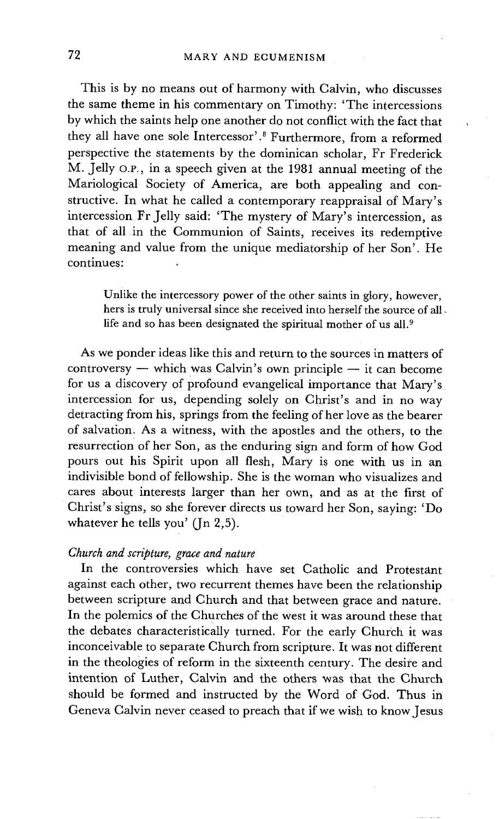This is by no means out of harmony with Calvin, who discusses the same theme in his commentary on Timothy: 'The intercessions by which the saints help one another do not conflict with the fact that they all have one sole Intercessor'.8 Furthermore, from a reformed perspective the statements by the dominican scholar, Fr Frederick M. Jelly o.P., in a speech given at the 1981 annual meeting of the Mariological Society of America, are both appealing and constructive. In what he called a contemporary reappraisal of Mary's intercession Fr Jelly said: 'The mystery of Mary's intercession, as that of all in the Communion of Saints, receives its redemptive meaning and value from the unique mediatorship of her Son'. He continues:

Unlike the intercessory power of the other saints in glory, however, hers is truly universal since she received into herself the source of all life and so has been designated the spiritual mother of us all.<sup>9</sup>

As we ponder ideas like this and return to the sources in matters of  $\text{controversy}$  — which was Calvin's own principle — it can become for us a discovery of profound evangelical importance that Mary's intercession for us, depending solely on Christ's and in no way detracting from his, springs from the feeling of her love as the bearer of salvation. As a witness, with the apostles and the others, to the resurrection of her Son, as the enduring sign and form of how God pours out his Spirit upon all flesh, Mary is one with us in an indivisible bond of fellowship. She is the woman who visualizes and cares about interests larger than her own, and as at the first of Christ's signs, so she forever directs us toward her Son, saying: 'Do whatever he tells you' (In 2,5).

# *Church and scripture, grace and nature*

In the controversies which have set Catholic and Protestant against each other, two recurrent themes have been the relationship between scripture and Church and that between grace and nature. In the polemics of the Churches of the west it was around these that the debates characteristically turned. For the early Church it was inconceivable to separate Church from scripture. It was not different in the theologies of reform in the sixteenth century. The desire and intention of Luther, Calvin and the others was that the Church should be formed and instructed by the Word of God. Thus in Geneva Calvin never ceased to preach that if we wish to know Jesus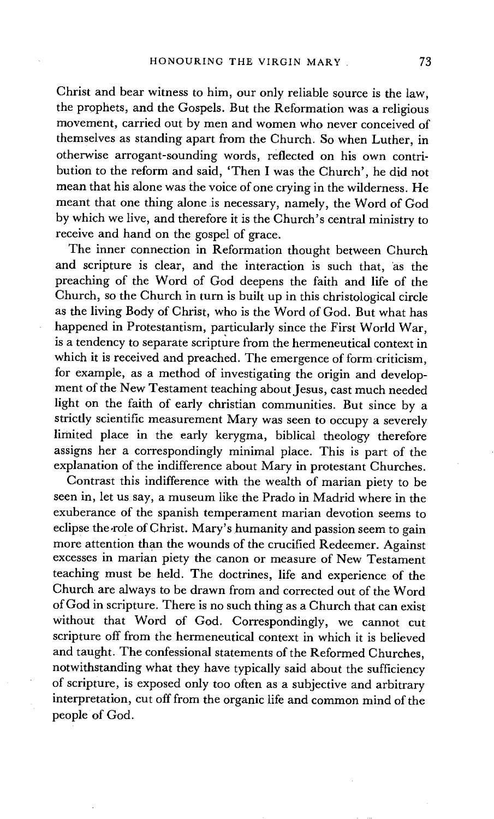Christ and bear witness to him, our only reliable source is the law, the prophets, and the Gospels. But the Reformation was a religious movement, carried out by men and women who never conceived of themselves as standing apart from the Church. So when Luther, in otherwise arrogant-sounding words, reflected on his own contribution to the reform and said, 'Then I was the Church', he did not mean that his alone was the voice of one crying in the wilderness. He meant that one thing alone is necessary, namely, the Word of God by which we live, and therefore it is the Church's central ministry to receive and hand on the gospel of grace.

The inner connection in Reformation thought between Church and scripture is clear, and the interaction is such that, 'as the preaching of the Word of God deepens the faith and life of the Church, so the Church in turn is built up in this christological circle as the living Body of Christ, who is the Word of God. But what has happened in Protestantism, particularly since the First World War, is a tendency to separate scripture from the hermeneutical context in which it is received and preached. The emergence of form criticism, for example, as a method of investigating the origin and development of the New Testament teaching about Jesus, cast much needed light on the faith of early christian communities. But since by a strictly scientific measurement Mary was seen to occupy a severely limited place in the early kerygma, biblical theology therefore assigns her a correspondingly minimal place. This is part of the explanation of the indifference about Mary in protestant Churches.

Contrast this indifference with the wealth of marian piety to be seen in, let us say, a museum like the Prado in Madrid where in the exuberance of the spanish temperament marian devotion seems to eclipse the role of Christ. Mary's humanity and passion seem to gain more attention than the wounds of the crucified Redeemer. Against excesses in marian piety the canon or measure of New Testament teaching must be held. The doctrines, life and experience of the Church are always to be drawn from and corrected out of the Word of God in scripture. There is no such thing as a Church that can exist without that Word of God. Correspondingly, we cannot cut scripture off from the hermeneutical context in which it is believed and taught. The confessional statements of the Reformed Churches, notwithstanding what they have typically said about the sufficiency of scripture, is exposed only too often as a subjective and arbitrary interpretation, cut off from the organic life and common mind of the people of God.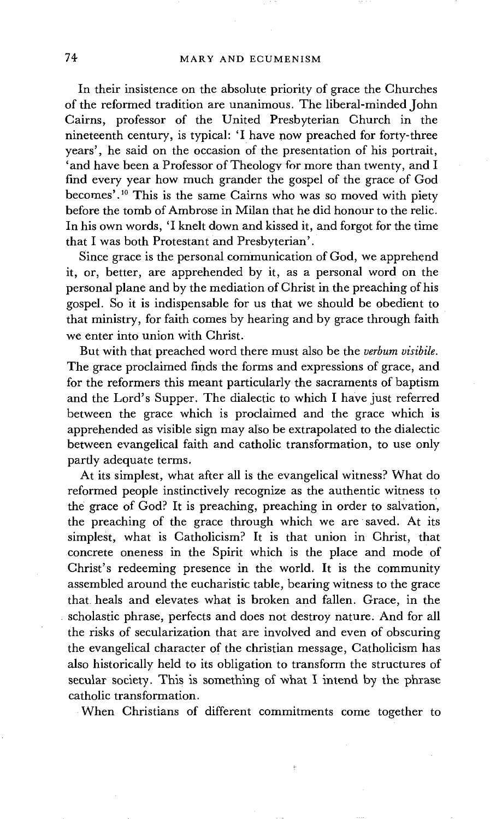In their insistence on the absolute priority of grace the Churches of the reformed tradition are unanimous. The liberal-minded John Cairns, professor of the United Presbyterian Church in the nineteenth century, is typical: 'I have now preached for forty-three years', he said on the occasion of the presentation of his portrait, 'and have been a Professor of Theology for more than twenty, and I find every year how much grander the gospel of the grace of God becomes'.<sup>10</sup> This is the same Cairns who was so moved with piety before the tomb of Ambrose in Milan that he did honour to the relic. In his own words, 'I knelt down and kissed it, and forgot for the time that I was both Protestant and Presbyterian'.

Since grace is the personal communication of God, we apprehend it, or, better, are apprehended by it, as a personal word on the personal plane and by the mediation of Christ in the preaching of his gospel. So it is indispensable for us that we should be obedient to that ministry, for faith comes by hearing and by grace through faith we enter into union with Christ.

But with that preached word there must also be the *verbum visibile.*  The grace proclaimed finds the forms and expressions of grace, and for the reformers this meant particularly the sacraments of baptism and the Lord's Supper. The dialectic to which I have just referred between the grace which is proclaimed and the grace which is apprehended as visible sign may also be extrapolated to the dialectic between evangelical faith and catholic transformation, to use only partly adequate terms.

At its simplest, what after all is the evangelical witness? What do reformed people instinctively recognize as the authentic witness to the grace of God? It is preaching, preaching in order to salvation', the preaching of the grace through which we are saved. At its simplest, what is Catholicism? It is that union in Christ, that concrete oneness in the Spirit which is the place and mode of Christ's redeeming presence in the world. It is the community assembled around the eucharistic table, bearing witness to the grace that heals and elevates what is broken and fallen. Grace, in the scholastic phrase, perfects and does not destroy nature; And for all the risks of secularization that are involved and even of obscuring the evangelical character of the christian message, Catholicism has also historically held to its obligation to transform the structures of secular society. This is something of what I intend by the phrase catholic transformation.

When Christians of different commitments come together to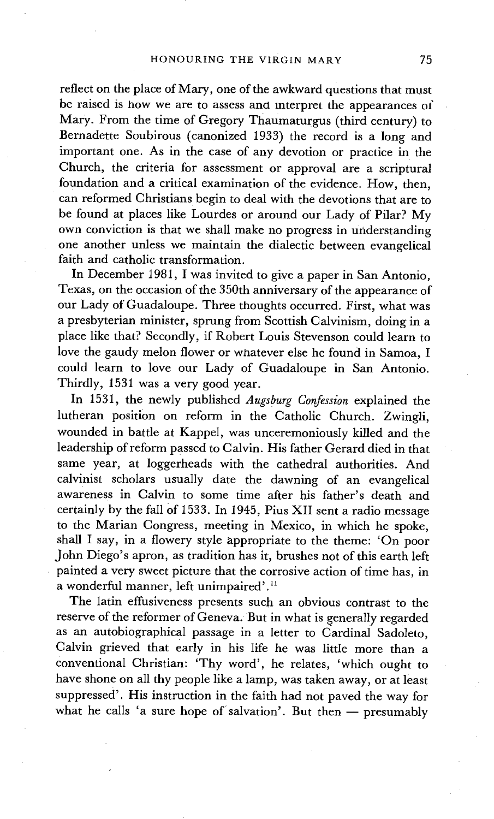reflect on the place of Mary, one of the awkward questions that must be raised is how we are to assess and Interpret the appearances of Mary. From the time of Gregory Thaumaturgus (third century) to Bernadette Soubirous (canonized 1933) the record is a long and important one. As in the case of any devotion or practice in the Church, the criteria for assessment or approval are a scriptural foundation and a critical examination of the evidence. How, then, can reformed Christians begin to deal with the devotions that are to be found at places like Lourdes or around our Lady of Pilar? My own conviction is that we shall make no progress in understanding one another unless we maintain the dialectic between evangelical faith and catholic transformation.

In December 1981, I was invited to give a paper in San Antonio, Texas, on the occasion of the 350th anniversary of the appearance of our Lady of Guadaloupe. Three thoughts occurred. First, what was a presbyterian minister, sprung from Scottish Calvinism, doing in a place like that? Secondly, if Robert Louis Stevenson could learn to love the gaudy melon flower or whatever else he found in Samoa, I could learn to love our Lady of Guadaloupe in San Antonio. Thirdly, 1531 was a very good year.

In 1531, the newly published *Augsburg Confession* explained the lutheran position on reform in the Catholic Church. Zwingli, wounded in battle at Kappel, was unceremoniously killed and the leadership of reform passed to Calvin. His father Gerard died in that same year, at loggerheads with the cathedral authorities. And calvinist scholars usually date the dawning of an evangelical awareness in Calvin to some time after his father's death and certainly by the fall Of 1533. In 1945, Pius XII sent a radio message to the Marian Congress, meeting in Mexico, in which he spoke, shall I say, in a flowery style appropriate to the theme: 'On poor John Diego's apron, as tradition has it, brushes not of this earth left painted a very sweet picture that the corrosive action of time has, in a wonderful manner, left unimpaired'.<sup>11</sup>

The latin effusiveness presents such an obvious contrast to the reserve of the reformer of Geneva. But in what is generally regarded as an autobiographical passage in a letter to Cardinal Sadoleto, Calvin grieved that early in his life he was little more than a conventional Christian: 'Thy word', he relates, 'which ought to have shone on all thy people like a lamp, was taken away, or at least suppressed'. His instruction in the faith had not paved the way for what he calls 'a sure hope of salvation'. But then  $-$  presumably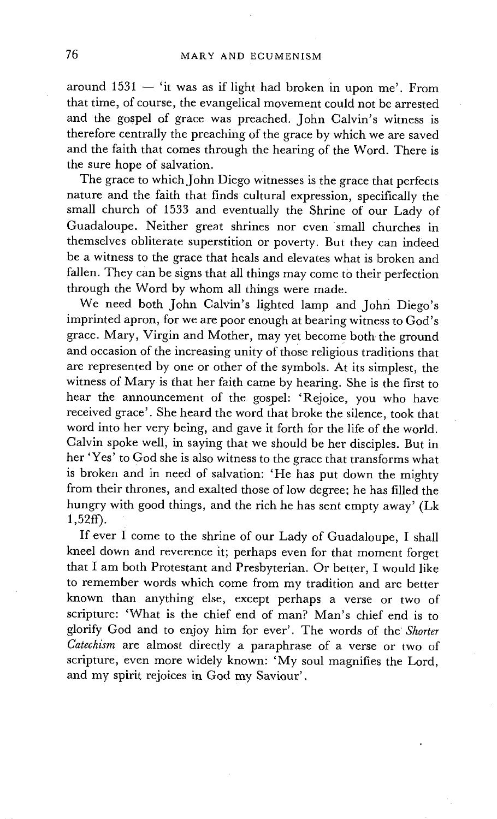around  $1531 -$  'it was as if light had broken in upon me'. From that time, of course, the evangelical movement could not be arrested and the gospel of grace was preached. John Calvin's witness is therefore centrally the preaching of the grace by which we are saved and the faith that comes through the hearing of the Word. There is the sure hope of salvation.

The grace to which John Diego witnesses is the grace that perfects nature and the faith that finds cultural expression, specifically the small church of 1533 and eventually the Shrine of our Lady of Guadaloupe. Neither great shrines nor even small churches in themselves obliterate superstition or poverty. But they can indeed be a witness to the grace that heals and elevates what is broken and fallen. They can be signs that all things may come to their perfection through the Word by whom all things were made.

We need both John Calvin's lighted lamp and John Diego's imprinted apron, for we are poor enough at bearing witness to God's grace. Mary, Virgin and Mother, may yet become both the ground and occasion of the increasing unity of those religious traditions that are represented by one or other of the symbols. At its simplest, the witness of Mary is that her faith came by hearing. She is the first to hear the announcement of the gospel: 'Rejoice, you who have received grace'. She heard the word that broke the silence, took that word into her very being, and gave it forth for the life of the world. Calvin spoke well, in saying that we should be her disciples. But in her 'Yes' to God she is also witness to the grace that transforms what is broken and in need of salvation: 'He has put down the mighty from their thrones, and exalted those of low degree; he has filled the hungry with good things, and the rich he has sent empty away' (Lk 1,52ff).

If ever I come to the shrine of our Lady of Guadaloupe, I shall kneel down and reverence it; perhaps even for that moment forget that I am both Protestant and Presbyterian. Or better, I would like to remember words which come from my tradition and are better known than anything else, except perhaps a verse or two of scripture: 'What is the chief end of man? Man's chief end is to glorify God and to enjoy him for ever'. The words of the *Shorter Catechism* are almost directly a paraphrase of a verse or two of scripture, even more widely known: 'My soul magnifies the Lord, and my spirit rejoices in God my Saviour'.